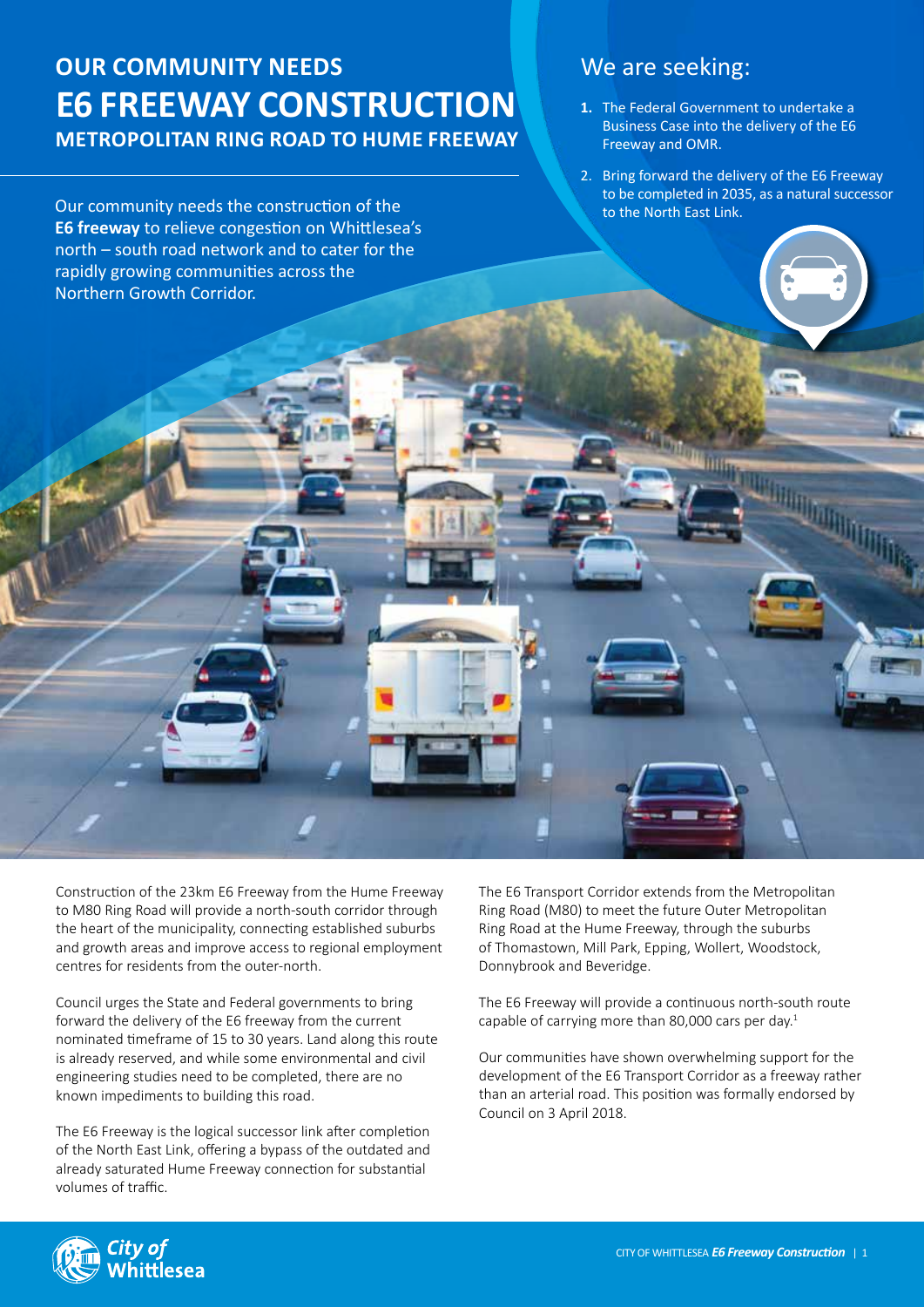# **Our community needs E6 Freeway Construction Metropolitan Ring Road to HUME FREEWAY**

Our community needs the construction of the **E6 freeway** to relieve congestion on Whittlesea's north – south road network and to cater for the rapidly growing communities across the Northern Growth Corridor.

## We are seeking:

- **1.** The Federal Government to undertake a Business Case into the delivery of the E6 Freeway and OMR.
- 2. Bring forward the delivery of the E6 Freeway to be completed in 2035, as a natural successor to the North East Link.

Construction of the 23km E6 Freeway from the Hume Freeway to M80 Ring Road will provide a north-south corridor through the heart of the municipality, connecting established suburbs and growth areas and improve access to regional employment centres for residents from the outer-north.

Council urges the State and Federal governments to bring forward the delivery of the E6 freeway from the current nominated timeframe of 15 to 30 years. Land along this route is already reserved, and while some environmental and civil engineering studies need to be completed, there are no known impediments to building this road.

The E6 Freeway is the logical successor link after completion of the North East Link, offering a bypass of the outdated and already saturated Hume Freeway connection for substantial volumes of traffic.

The E6 Transport Corridor extends from the Metropolitan Ring Road (M80) to meet the future Outer Metropolitan Ring Road at the Hume Freeway, through the suburbs of Thomastown, Mill Park, Epping, Wollert, Woodstock, Donnybrook and Beveridge.

The E6 Freeway will provide a continuous north-south route capable of carrying more than 80,000 cars per day.<sup>1</sup>

Our communities have shown overwhelming support for the development of the E6 Transport Corridor as a freeway rather than an arterial road. This position was formally endorsed by Council on 3 April 2018.

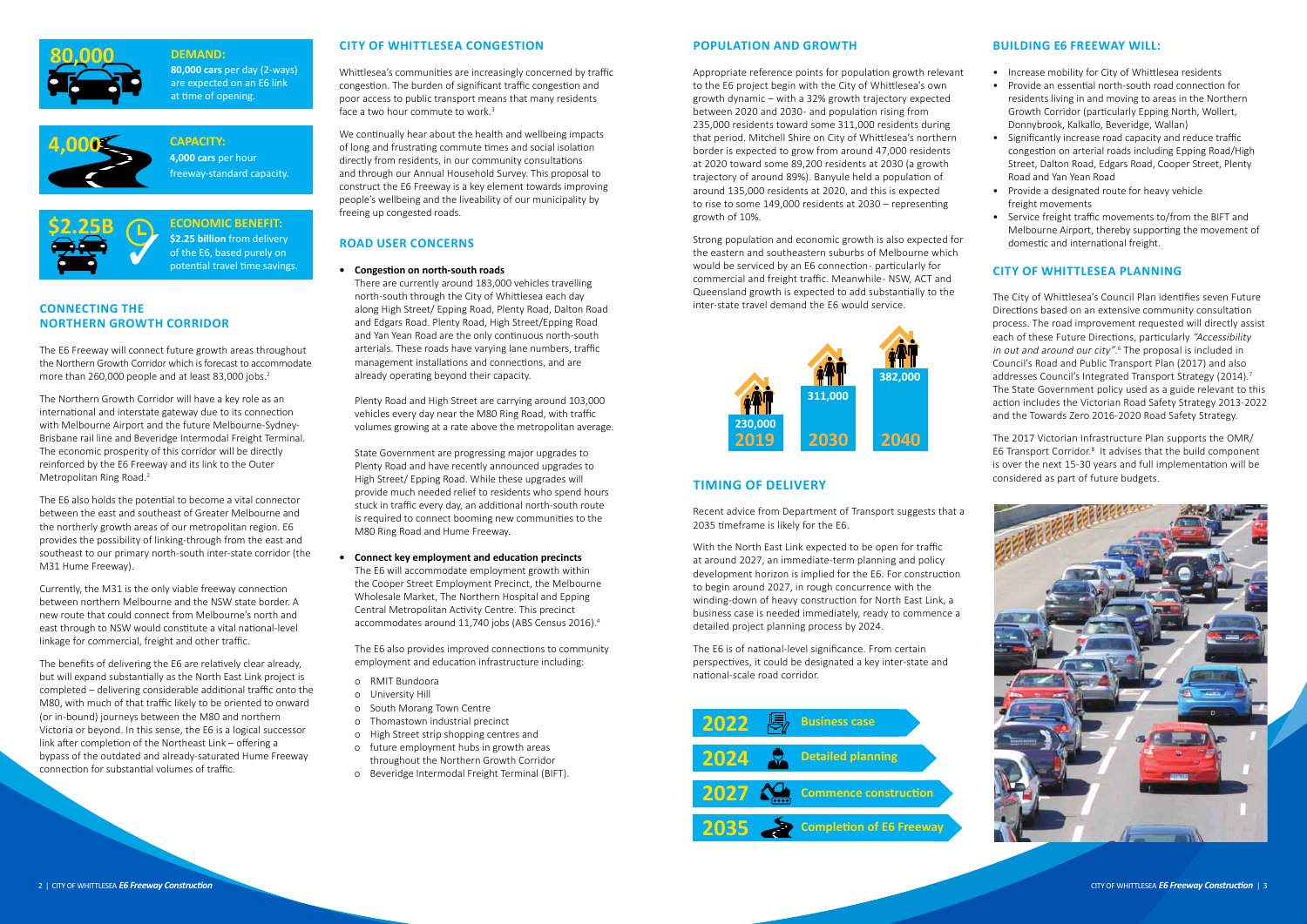### **Building E6 Freeway will:**

- Increase mobility for City of Whittlesea residents
- Provide an essential north-south road connection for residents living in and moving to areas in the Northern Growth Corridor (particularly Epping North, Wollert, Donnybrook, Kalkallo, Beveridge, Wallan)
- Significantly increase road capacity and reduce traffic congestion on arterial roads including Epping Road/High Street, Dalton Road, Edgars Road, Cooper Street, Plenty Road and Yan Yean Road
- Provide a designated route for heavy vehicle freight movements
- Service freight traffic movements to/from the BIFT and Melbourne Airport, thereby supporting the movement of domestic and international freight.

## **City of Whittlesea planning**

The E6 Freeway will connect future growth areas throughout the Northern Growth Corridor which is forecast to accommodate more than 260,000 people and at least 83,000 jobs.<sup>2</sup>

The City of Whittlesea's Council Plan identifies seven Future Directions based on an extensive community consultation process. The road improvement requested will directly assist each of these Future Directions, particularly "Accessibility in out and around our city".<sup>6</sup> The proposal is included in Council's Road and Public Transport Plan (2017) and also addresses Council's Integrated Transport Strategy (2014).<sup>7</sup> The State Government policy used as a guide relevant to this action includes the Victorian Road Safety Strategy 2013-2022 and the Towards Zero 2016-2020 Road Safety Strategy.

The 2017 Victorian Infrastructure Plan supports the OMR/ E6 Transport Corridor.<sup>8</sup> It advises that the build component is over the next 15-30 years and full implementation will be considered as part of future budgets.



## **Connecting the Northern Growth Corridor**

Whittlesea's communities are increasingly concerned by traffic congestion. The burden of significant traffic congestion and poor access to public transport means that many residents face a two hour commute to work.<sup>3</sup>

The Northern Growth Corridor will have a key role as an international and interstate gateway due to its connection with Melbourne Airport and the future Melbourne-Sydney-Brisbane rail line and Beveridge Intermodal Freight Terminal. The economic prosperity of this corridor will be directly reinforced by the E6 Freeway and its link to the Outer Metropolitan Ring Road.2

The E6 also holds the potential to become a vital connector between the east and southeast of Greater Melbourne and the northerly growth areas of our metropolitan region. E6 provides the possibility of linking-through from the east and southeast to our primary north-south inter-state corridor (the M31 Hume Freeway).

Currently, the M31 is the only viable freeway connection between northern Melbourne and the NSW state border. A new route that could connect from Melbourne's north and east through to NSW would constitute a vital national-level linkage for commercial, freight and other traffic.

The benefits of delivering the E6 are relatively clear already, but will expand substantially as the North East Link project is completed – delivering considerable additional traffic onto the M80, with much of that traffic likely to be oriented to onward (or in-bound) journeys between the M80 and northern Victoria or beyond. In this sense, the E6 is a logical successor link after completion of the Northeast Link – offering a bypass of the outdated and already-saturated Hume Freeway connection for substantial volumes of traffic.

#### **City of Whittlesea congestion**

We continually hear about the health and wellbeing impacts of long and frustrating commute times and social isolation directly from residents, in our community consultations and through our Annual Household Survey. This proposal to construct the E6 Freeway is a key element towards improving people's wellbeing and the liveability of our municipality by freeing up congested roads.

#### **Road user concerns**

#### **• Congestion on north-south roads**

There are currently around 183,000 vehicles travelling north-south through the City of Whittlesea each day along High Street/ Epping Road, Plenty Road, Dalton Road and Edgars Road. Plenty Road, High Street/Epping Road and Yan Yean Road are the only continuous north-south arterials. These roads have varying lane numbers, traffic management installations and connections, and are already operating beyond their capacity.

Plenty Road and High Street are carrying around 103,000 vehicles every day near the M80 Ring Road, with traffic volumes growing at a rate above the metropolitan average.

State Government are progressing major upgrades to Plenty Road and have recently announced upgrades to High Street/ Epping Road. While these upgrades will provide much needed relief to residents who spend hours stuck in traffic every day, an additional north-south route is required to connect booming new communities to the M80 Ring Road and Hume Freeway.

#### **• Connect key employment and education precincts** The E6 will accommodate employment growth within the Cooper Street Employment Precinct, the Melbourne Wholesale Market, The Northern Hospital and Epping Central Metropolitan Activity Centre. This precinct accommodates around 11,740 jobs (ABS Census 2016).4

The E6 also provides improved connections to community employment and education infrastructure including:

- o RMIT Bundoora
- o University Hill
- o South Morang Town Centre
- o Thomastown industrial precinct
- o High Street strip shopping centres and
- o future employment hubs in growth areas throughout the Northern Growth Corridor
- o Beveridge Intermodal Freight Terminal (BIFT).

#### **Population and growth**

Appropriate reference points for population growth relevant to the E6 project begin with the City of Whittlesea's own growth dynamic – with a 32% growth trajectory expected between 2020 and 2030 - and population rising from 235,000 residents toward some 311,000 residents during that period. Mitchell Shire on City of Whittlesea's northern border is expected to grow from around 47,000 residents at 2020 toward some 89,200 residents at 2030 (a growth trajectory of around 89%). Banyule held a population of around 135,000 residents at 2020, and this is expected to rise to some 149,000 residents at 2030 – representing growth of 10%.

Strong population and economic growth is also expected for the eastern and southeastern suburbs of Melbourne which would be serviced by an E6 connection- particularly for commercial and freight traffic. Meanwhile-NSW, ACT and Queensland growth is expected to add substantially to the inter-state travel demand the E6 would service.

## **Timing of Delivery**

Recent advice from Department of Transport suggests that a 2035 timeframe is likely for the E6.

With the North East Link expected to be open for traffic at around 2027, an immediate-term planning and policy development horizon is implied for the E6. For construction to begin around 2027, in rough concurrence with the winding-down of heavy construction for North East Link, a business case is needed immediately, ready to commence a detailed project planning process by 2024.

The E6 is of national-level significance. From certain perspectives, it could be designated a key inter-state and national-scale road corridor.

## **DEMAND:**

**80,000 cars** per day (2-ways) are expected on an E6 link at time of opening.

**CAPACITY: 4,000 cars** per hour freeway-standard capacity.

**ECONOMIC BENEFIT: \$2.25 billion** from delivery of the E6, based purely on potential travel time savings.